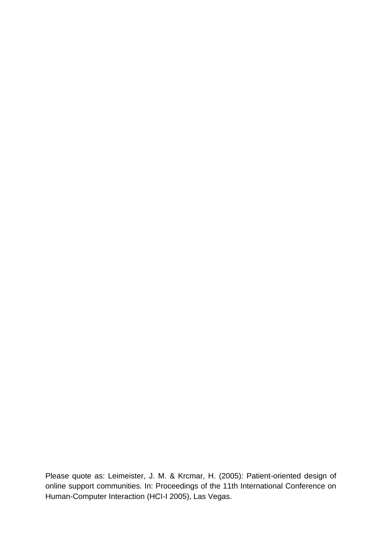Please quote as: Leimeister, J. M. & Krcmar, H. (2005): Patient-oriented design of online support communities. In: Proceedings of the 11th International Conference on Human-Computer Interaction (HCI-I 2005), Las Vegas.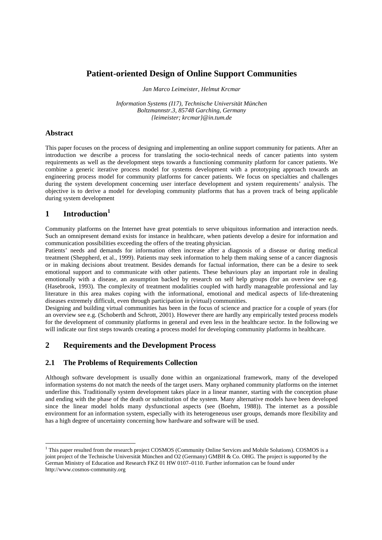# **Patient-oriented Design of Online Support Communities**

*Jan Marco Leimeister, Helmut Krcmar*

*Information Systems (I17), Technische Universität München Boltzmannstr.3, 85748 Garching, Germany {leimeister; krcmar}@in.tum.de*

#### **Abstract**

This paper focuses on the process of designing and implementing an online support community for patients. After an introduction we describe a process for translating the socio-technical needs of cancer patients into system requirements as well as the development steps towards a functioning community platform for cancer patients. We combine a generic iterative process model for systems development with a prototyping approach towards an engineering process model for community platforms for cancer patients. We focus on specialties and challenges during the system development concerning user interface development and system requirements' analysis. The objective is to derive a model for developing community platforms that has a proven track of being applicable during system development

# **1 Introduction<sup>1</sup>**

Community platforms on the Internet have great potentials to serve ubiquitous information and interaction needs. Such an omnipresent demand exists for instance in healthcare, when patients develop a desire for information and communication possibilities exceeding the offers of the treating physician.

Patients' needs and demands for information often increase after a diagnosis of a disease or during medical treatment (Sheppherd, et al., 1999). Patients may seek information to help them making sense of a cancer diagnosis or in making decisions about treatment. Besides demands for factual information, there can be a desire to seek emotional support and to communicate with other patients. These behaviours play an important role in dealing emotionally with a disease, an assumption backed by research on self help groups (for an overview see e.g. (Hasebrook, 1993). The complexity of treatment modalities coupled with hardly manageable professional and lay literature in this area makes coping with the informational, emotional and medical aspects of life-threatening diseases extremely difficult, even through participation in (virtual) communities.

Designing and building virtual communities has been in the focus of science and practice for a couple of years (for an overview see e.g. (Schoberth and Schrott, 2001). However there are hardly any empirically tested process models for the development of community platforms in general and even less in the healthcare sector. In the following we will indicate our first steps towards creating a process model for developing community platforms in healthcare.

## **2 Requirements and the Development Process**

## **2.1 The Problems of Requirements Collection**

Although software development is usually done within an organizational framework, many of the developed information systems do not match the needs of the target users. Many orphaned community platforms on the internet underline this. Traditionally system development takes place in a linear manner, starting with the conception phase and ending with the phase of the death or substitution of the system. Many alternative models have been developed since the linear model holds many dysfunctional aspects (see (Boehm, 1988)). The internet as a possible environment for an information system, especially with its heterogeneous user groups, demands more flexibility and has a high degree of uncertainty concerning how hardware and software will be used.

<sup>&</sup>lt;sup>1</sup> This paper resulted from the research project COSMOS (Community Online Services and Mobile Solutions). COSMOS is a joint project of the Technische Universität München and O2 (Germany) GMBH & Co. OHG. The project is supported by the German Ministry of Education and Research FKZ 01 HW 0107–0110. Further information can be found under http://www.cosmos-community.org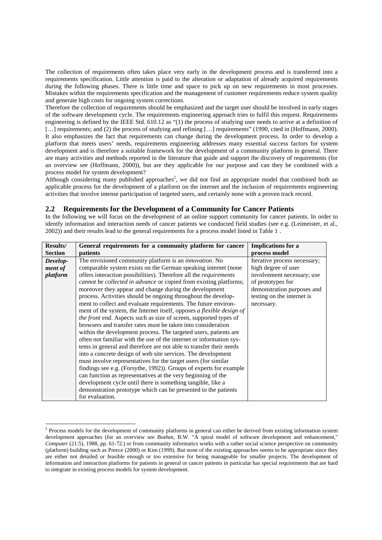The collection of requirements often takes place very early in the development process and is transferred into a requirements specification. Little attention is paid to the alteration or adaptation of already acquired requirements during the following phases. There is little time and space to pick up on new requirements in most processes. Mistakes within the requirements specification and the management of customer requirements reduce system quality and generate high costs for ongoing system corrections.

Therefore the collection of requirements should be emphasized and the target user should be involved in early stages of the software development cycle. The requirements engineering approach tries to fulfil this request. Requirements engineering is defined by the IEEE Std. 610.12 as "(1) the process of studying user needs to arrive at a definition of [...] requirements; and (2) the process of studying and refining [...] requirements" (1990, cited in (Hoffmann, 2000). It also emphasizes the fact that requirements can change during the development process. In order to develop a platform that meets users' needs, requirements engineering addresses many essential success factors for system development and is therefore a suitable framework for the development of a community platform in general. There are many activities and methods reported in the literature that guide and support the discovery of requirements (for an overview see (Hoffmann, 2000)), but are they applicable for our purpose and can they be combined with a process model for system development?

Although considering many published approaches<sup>2</sup>, we did not find an appropriate model that combined both an applicable process for the development of a platform on the internet and the inclusion of requirements engineering activities that involve intense participation of targeted users, and certainly none with a proven track record.

## **2.2 Requirements for the Development of a Community for Cancer Patients**

In the following we will focus on the development of an online support community for cancer patients. In order to identfy information and interaction needs of cancer patients we conducted field studies (see e.g. (Leimeister, et al., 2002)) and their results lead to the general requirements for a process model listed in Table 1 .

| Results/       | General requirements for a community platform for cancer                 | <b>Implications</b> for a    |
|----------------|--------------------------------------------------------------------------|------------------------------|
| <b>Section</b> | patients                                                                 | process model                |
| Develop-       | The envisioned community platform is an <i>innovation</i> . No           | Iterative process necessary; |
| ment of        | comparable system exists on the German speaking internet (none           | high degree of user          |
| platform       | offers interaction possibilities). Therefore all the <i>requirements</i> | involvement necessary; use   |
|                | cannot be collected in advance or copied from existing platforms;        | of prototypes for            |
|                | moreover they appear and change during the development                   | demonstration purposes and   |
|                | process. Activities should be ongoing throughout the develop-            | testing on the internet is   |
|                | ment to collect and evaluate requirements. The future environ-           | necessary.                   |
|                | ment of the system, the Internet itself, opposes a flexible design of    |                              |
|                | the front end. Aspects such as size of screen, supported types of        |                              |
|                | browsers and transfer rates must be taken into consideration             |                              |
|                | within the development process. The targeted users, patients are         |                              |
|                | often not familiar with the use of the internet or information sys-      |                              |
|                | tems in general and therefore are not able to transfer their needs       |                              |
|                | into a concrete design of web site services. The development             |                              |
|                | must involve representatives for the target users (for similar           |                              |
|                | findings see e.g. (Forsythe, 1992)). Groups of experts for example       |                              |
|                | can function as representatives at the very beginning of the             |                              |
|                | development cycle until there is something tangible, like a              |                              |
|                | demonstration prototype which can be presented to the patients           |                              |
|                | for evaluation.                                                          |                              |

<sup>&</sup>lt;sup>2</sup> Process models for the development of community platforms in general can either be derived from existing information system development approaches (for an overview see Boehm, B.W. "A spiral model of software development and enhancement," *Computer* (21:5), 1988, pp. 61-72.) or from community informatics works with a rather social science perspective on community (platform) building such as Preece (2000) or Kim (1999). But none of the existing approaches seems to be appropriate since they are either not detailed or feasible enough or too extensive for being manageable for smaller projects. The development of information and interaction platforms for patients in general or cancer patients in particular has special requirements that are hard to integrate in existing process models for system development.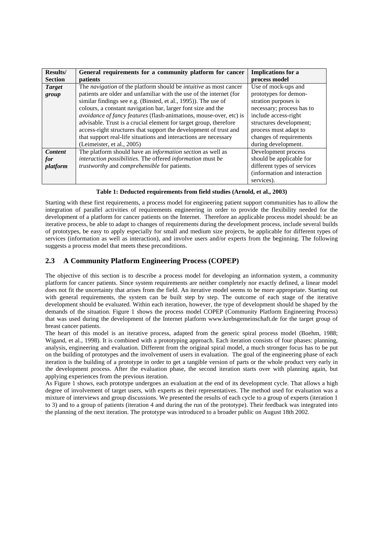| <b>Results/</b> | General requirements for a community platform for cancer                 | <b>Implications</b> for a    |
|-----------------|--------------------------------------------------------------------------|------------------------------|
| <b>Section</b>  | patients                                                                 | process model                |
| <b>Target</b>   | The navigation of the platform should be <i>intuitive</i> as most cancer | Use of mock-ups and          |
| group           | patients are older and unfamiliar with the use of the internet (for      | prototypes for demon-        |
|                 | similar findings see e.g. (Binsted, et al., 1995)). The use of           | stration purposes is         |
|                 | colours, a constant navigation bar, larger font size and the             | necessary; process has to    |
|                 | avoidance of fancy features (flash-animations, mouse-over, etc) is       | include access-right         |
|                 | advisable. Trust is a crucial element for target group, therefore        | structures development;      |
|                 | access-right structures that support the development of trust and        | process must adapt to        |
|                 | that support real-life situations and interactions are necessary         | changes of requirements      |
|                 | (Leimeister, et al., 2005)                                               | during development.          |
| <b>Content</b>  | The platform should have an <i>information section</i> as well as        | Development process          |
| for             | interaction possibilities. The offered information must be               | should be applicable for     |
| platform        | trustworthy and comprehensible for patients.                             | different types of services  |
|                 |                                                                          | (information and interaction |
|                 |                                                                          | services).                   |

**Table 1: Deducted requirements from field studies (Arnold, et al., 2003)**

Starting with these first requirements, a process model for engineering patient support communities has to allow the integration of parallel activities of requirements engineering in order to provide the flexibility needed for the development of a platform for cancer patients on the Internet. Therefore an applicable process model should: be an iterative process, be able to adapt to changes of requirements during the development process, include several builds of prototypes, be easy to apply especially for small and medium size projects, be applicable for different types of services (information as well as interaction), and involve users and/or experts from the beginning. The following suggests a process model that meets these preconditions.

# **2.3 A Community Platform Engineering Process (COPEP)**

The objective of this section is to describe a process model for developing an information system, a community platform for cancer patients. Since system requirements are neither completely nor exactly defined, a linear model does not fit the uncertainty that arises from the field. An iterative model seems to be more appropriate. Starting out with general requirements, the system can be built step by step. The outcome of each stage of the iterative development should be evaluated. Within each iteration, however, the type of development should be shaped by the demands of the situation. Figure 1 shows the process model COPEP (Community Platform Engineering Process) that was used during the development of the Internet platform www.krebsgemeinschaft.de for the target group of breast cancer patients.

The heart of this model is an iterative process, adapted from the generic spiral process model (Boehm, 1988; Wigand, et al., 1998). It is combined with a prototyping approach. Each iteration consists of four phases: planning, analysis, engineering and evaluation. Different from the original spiral model, a much stronger focus has to be put on the building of prototypes and the involvement of users in evaluation. The goal of the engineering phase of each iteration is the building of a prototype in order to get a tangible version of parts or the whole product very early in the development process. After the evaluation phase, the second iteration starts over with planning again, but applying experiences from the previous iteration.

As Figure 1 shows, each prototype undergoes an evaluation at the end of its development cycle. That allows a high degree of involvement of target users, with experts as their representatives. The method used for evaluation was a mixture of interviews and group discussions. We presented the results of each cycle to a group of experts (iteration 1 to 3) and to a group of patients (iteration 4 and during the run of the prototype). Their feedback was integrated into the planning of the next iteration. The prototype was introduced to a broader public on August 18th 2002.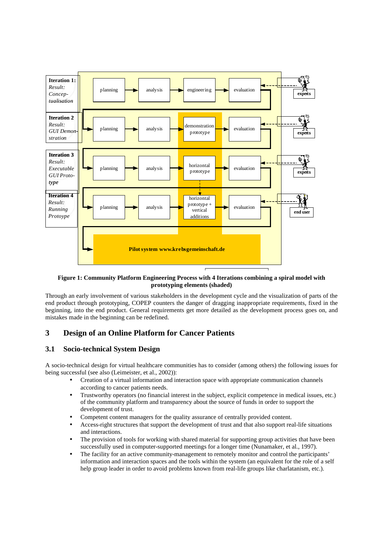

#### **Figure 1: Community Platform Engineering Process with 4 Iterations combining a spiral model with prototyping elements (shaded)**

Through an early involvement of various stakeholders in the development cycle and the visualization of parts of the end product through prototyping, COPEP counters the danger of dragging inappropriate requirements, fixed in the beginning, into the end product. General requirements get more detailed as the development process goes on, and mistakes made in the beginning can be redefined.

# **3 Design of an Online Platform for Cancer Patients**

## **3.1 Socio-technical System Design**

A socio-technical design for virtual healthcare communities has to consider (among others) the following issues for being successful (see also (Leimeister, et al., 2002)):

- Creation of a virtual information and interaction space with appropriate communication channels according to cancer patients needs.
- Trustworthy operators (no financial interest in the subject, explicit competence in medical issues, etc.) of the community platform and transparency about the source of funds in order to support the development of trust.
- Competent content managers for the quality assurance of centrally provided content.
- Access-right structures that support the development of trust and that also support real-life situations and interactions.
- The provision of tools for working with shared material for supporting group activities that have been successfully used in computer-supported meetings for a longer time (Nunamaker, et al., 1997).
- The facility for an active community-management to remotely monitor and control the participants' information and interaction spaces and the tools within the system (an equivalent for the role of a self help group leader in order to avoid problems known from real-life groups like charlatanism, etc.).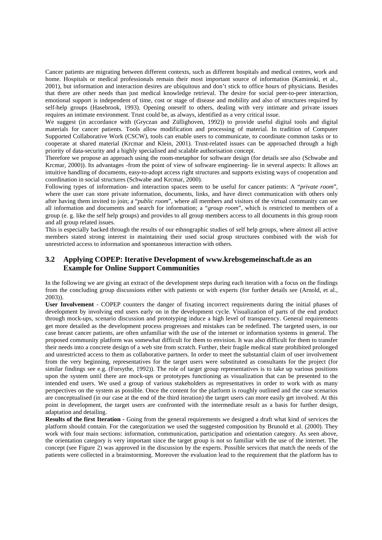Cancer patients are migrating between different contexts, such as different hospitals and medical centres, work and home. Hospitals or medical professionals remain their most important source of information (Kaminski, et al., 2001), but information and interaction desires are ubiquitous and don't stick to office hours of physicians. Besides that there are other needs than just medical knowledge retrieval. The desire for social peer-to-peer interaction, emotional support is independent of time, cost or stage of disease and mobility and also of structures required by self-help groups (Hasebrook, 1993). Opening oneself to others, dealing with very intimate and private issues requires an intimate environment. Trust could be, as always, identified as a very critical issue.

We suggest (in accordance with (Gryczan and Züllighoven, 1992)) to provide useful digital tools and digital materials for cancer patients. Tools allow modification and processing of material. In tradition of Computer Supported Collaborative Work (CSCW), tools can enable users to communicate, to coordinate common tasks or to cooperate at shared material (Krcmar and Klein, 2001). Trust-related issues can be approached through a high priority of data-security and a highly specialised and scalable authorisation concept.

Therefore we propose an approach using the room-metaphor for software design (for details see also (Schwabe and Krcmar, 2000)). Its advantages -from the point of view of software engineering- lie in several aspects: It allows an intuitive handling of documents, easy-to-adopt access right structures and supports existing ways of cooperation and coordination in social structures (Schwabe and Krcmar, 2000).

Following types of information- and interaction spaces seem to be useful for cancer patients: A "*private room*", where the user can store private information, documents, links, and have direct communication with others only after having them invited to join; a "*public room*", where all members and visitors of the virtual community can see all information and documents and search for information; a "*group room*", which is restricted to members of a group (e. g. like the self help groups) and provides to all group members access to all documents in this group room and all group related issues.

This is especially backed through the results of our ethnographic studies of self help groups, where almost all active members stated strong interest in maintaining their used social group structures combined with the wish for unrestricted access to information and spontaneous interaction with others.

## **3.2 Applying COPEP: Iterative Development of www.krebsgemeinschaft.de as an Example for Online Support Communities**

In the following we are giving an extract of the development steps during each iteration with a focus on the findings from the concluding group discussions either with patients or with experts (for further details see (Arnold, et al., 2003)).

**User Involvement** - COPEP counters the danger of fixating incorrect requirements during the initial phases of development by involving end users early on in the development cycle. Visualization of parts of the end product through mock-ups, scenario discussion and prototyping induce a high level of transparency. General requirements get more detailed as the development process progresses and mistakes can be redefined. The targeted users, in our case breast cancer patients, are often unfamiliar with the use of the internet or information systems in general. The proposed community platform was somewhat difficult for them to envision. It was also difficult for them to transfer their needs into a concrete design of a web site from scratch. Further, their fragile medical state prohibited prolonged and unrestricted access to them as collaborative partners. In order to meet the substantial claim of user involvement from the very beginning, representatives for the target users were substituted as consultants for the project (for similar findings see e.g. (Forsythe, 1992)). The role of target group representatives is to take up various positions upon the system until there are mock-ups or prototypes functioning as visualization that can be presented to the intended end users. We used a group of various stakeholders as representatives in order to work with as many perspectives on the system as possible. Once the content for the platform is roughly outlined and the case scenarios are conceptualised (in our case at the end of the third iteration) the target users can more easily get involved. At this point in development, the target users are confronted with the intermediate result as a basis for further design, adaptation and detailing.

**Results of the first Iteration -** Going from the general requirements we designed a draft what kind of services the platform should contain. For the categorization we used the suggested composition by Brunold et al. (2000). They work with four main sections: information, communication, participation and orientation category. As seen above, the orientation category is very important since the target group is not so familiar with the use of the internet. The concept (see Figure 2) was approved in the discussion by the experts. Possible services that match the needs of the patients were collected in a brainstorming. Moreover the evaluation lead to the requirement that the platform has to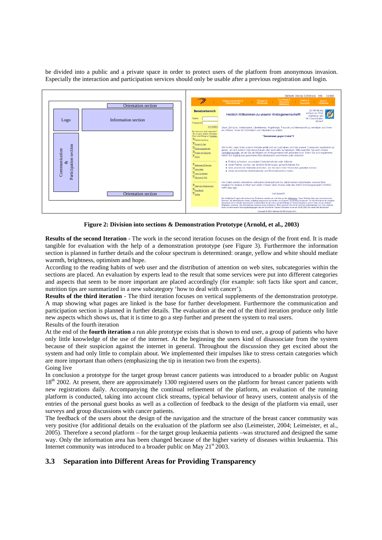be divided into a public and a private space in order to protect users of the platform from anonymous invasion. Especially the interaction and participation services should only be usable after a previous registration and login.



**Figure 2: Division into sections & Demonstration Prototype (Arnold, et al., 2003)**

**Results of the second Iteration** - The work in the second iteration focuses on the design of the front end. It is made tangible for evaluation with the help of a demonstration prototype (see Figure 3). Furthermore the information section is planned in further details and the colour spectrum is determined: orange, yellow and white should mediate warmth, brightness, optimism and hope.

According to the reading habits of web user and the distribution of attention on web sites, subcategories within the sections are placed. An evaluation by experts lead to the result that some services were put into different categories and aspects that seem to be more important are placed accordingly (for example: soft facts like sport and cancer, nutrition tips are summarized in a new subcategory 'how to deal with cancer').

**Results of the third iteration** - The third iteration focuses on vertical supplements of the demonstration prototype. A map showing what pages are linked is the base for further development. Furthermore the communication and participation section is planned in further details. The evaluation at the end of the third iteration produce only little new aspects which shows us, that it is time to go a step further and present the system to real users. Results of the fourth iteration

At the end of the **fourth iteration** a run able prototype exists that is shown to end user, a group of patients who have only little knowledge of the use of the internet. At the beginning the users kind of disassociate from the system because of their suspicion against the internet in general. Throughout the discussion they get excited about the system and had only little to complain about. We implemented their impulses like to stress certain categories which are more important than others (emphasizing the tip in iteration two from the experts). Going live

In conclusion a prototype for the target group breast cancer patients was introduced to a broader public on August 18<sup>th</sup> 2002. At present, there are approximately 1300 registered users on the platform for breast cancer patients with new registrations daily. Accompanying the continual refinement of the platform, an evaluation of the running platform is conducted, taking into account click streams, typical behaviour of heavy users, content analysis of the entries of the personal guest books as well as a collection of feedback to the design of the platform via email, user surveys and group discussions with cancer patients.

The feedback of the users about the design of the navigation and the structure of the breast cancer community was very positive (for additional details on the evaluation of the platform see also (Leimeister, 2004; Leimeister, et al., 2005). Therefore a second platform – for the target group leukaemia patients –was structured and designed the same way. Only the information area has been changed because of the higher variety of diseases within leukaemia. This Internet community was introduced to a broader public on May  $21<sup>st</sup> 2003$ .

## **3.3 Separation into Different Areas for Providing Transparency**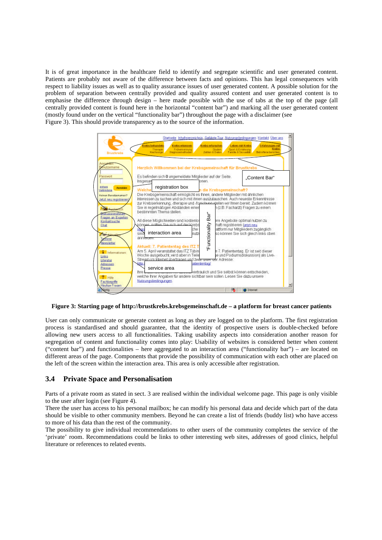It is of great importance in the healthcare field to identify and segregate scientific and user generated content. Patients are probably not aware of the difference between facts and opinions. This has legal consequences with respect to liability issues as well as to quality assurance issues of user generated content. A possible solution for the problem of separation between centrally provided and quality assured content and user generated content is to emphasise the difference through design – here made possible with the use of tabs at the top of the page (all centrally provided content is found here in the horizontal "content bar") and marking all the user generated content (mostly found under on the vertical "functionality bar") throughout the page with a disclaimer (see Figure 3). This should provide transparency as to the source of the information.



**Figure 3: Starting page of http://brustkrebs.krebsgemeinschaft.de – a platform for breast cancer patients**

User can only communicate or generate content as long as they are logged on to the platform. The first registration process is standardised and should guarantee, that the identity of prospective users is double-checked before allowing new users access to all functionalities. Taking usability aspects into consideration another reason for segregation of content and functionality comes into play: Usability of websites is considered better when content ("content bar") and functionalities – here aggregated to an interaction area ("functionality bar") – are located on different areas of the page. Components that provide the possibility of communication with each other are placed on the left of the screen within the interaction area. This area is only accessible after registration.

## **3.4 Private Space and Personalisation**

Parts of a private room as stated in sect. 3 are realised within the individual welcome page. This page is only visible to the user after login (see Figure 4).

There the user has access to his personal mailbox; he can modify his personal data and decide which part of the data should be visible to other community members. Beyond he can create a list of friends (buddy list) who have access to more of his data than the rest of the community.

The possibility to give individual recommendations to other users of the community completes the service of the 'private' room. Recommendations could be links to other interesting web sites, addresses of good clinics, helpful literature or references to related events.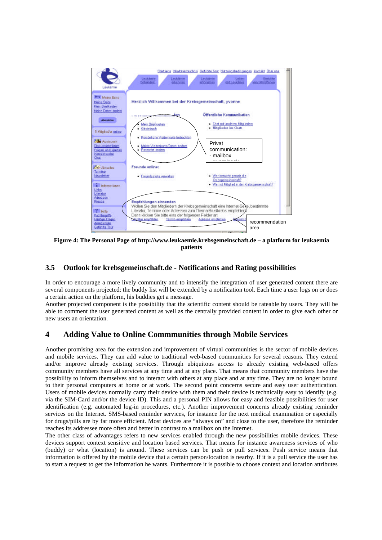

**Figure 4: The Personal Page of http://www.leukaemie.krebsgemeinschaft.de – a platform for leukaemia patients**

## **3.5 Outlook for krebsgemeinschaft.de - Notifications and Rating possibilities**

In order to encourage a more lively community and to intensify the integration of user generated content there are several components projected: the buddy list will be extended by a notification tool. Each time a user logs on or does a certain action on the platform, his buddies get a message.

Another projected component is the possibility that the scientific content should be rateable by users. They will be able to comment the user generated content as well as the centrally provided content in order to give each other or new users an orientation.

# **4 Adding Value to Online Commmunities through Mobile Services**

Another promising area for the extension and improvement of virtual communities is the sector of mobile devices and mobile services. They can add value to traditional web-based communities for several reasons. They extend and/or improve already existing services. Through ubiquitous access to already existing web-based offers community members have all services at any time and at any place. That means that community members have the possibility to inform themselves and to interact with others at any place and at any time. They are no longer bound to their personal computers at home or at work. The second point concerns secure and easy user authentication. Users of mobile devices normally carry their device with them and their device is technically easy to identify (e.g. via the SIM-Card and/or the device ID). This and a personal PIN allows for easy and feasible possibilities for user identification (e.g. automated log-in procedures, etc.). Another improvement concerns already existing reminder services on the Internet. SMS-based reminder services, for instance for the next medical examination or especially for drugs/pills are by far more efficient. Most devices are "always on" and close to the user, therefore the reminder reaches its addressee more often and better in contrast to a mailbox on the Internet.

The other class of advantages refers to new services enabled through the new possibilities mobile devices. These devices support context sensitive and location based services. That means for instance awareness services of who (buddy) or what (location) is around. These services can be push or pull services. Push service means that information is offered by the mobile device that a certain person/location is nearby. If it is a pull service the user has to start a request to get the information he wants. Furthermore it is possible to choose context and location attributes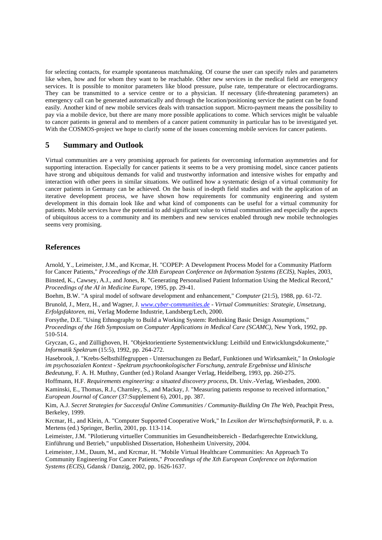for selecting contacts, for example spontaneous matchmaking. Of course the user can specify rules and parameters like when, how and for whom they want to be reachable. Other new services in the medical field are emergency services. It is possible to monitor parameters like blood pressure, pulse rate, temperature or electrocardiograms. They can be transmitted to a service centre or to a physician. If necessary (life-threatening parameters) an emergency call can be generated automatically and through the location/positioning service the patient can be found easily. Another kind of new mobile services deals with transaction support. Micro-payment means the possibility to pay via a mobile device, but there are many more possible applications to come. Which services might be valuable to cancer patients in general and to members of a cancer patient community in particular has to be investigated yet. With the COSMOS-project we hope to clarify some of the issues concerning mobile services for cancer patients.

## **5 Summary and Outlook**

Virtual communities are a very promising approach for patients for overcoming information asymmetries and for supporting interaction. Especially for cancer patients it seems to be a very promising model, since cancer patients have strong and ubiquitous demands for valid and trustworthy information and intensive wishes for empathy and interaction with other peers in similar situations. We outlined how a systematic design of a virtual community for cancer patients in Germany can be achieved. On the basis of in-depth field studies and with the application of an iterative development process, we have shown how requirements for community engineering and system development in this domain look like and what kind of components can be useful for a virtual community for patients. Mobile services have the potential to add significant value to virtual communities and especially the aspects of ubiquitous access to a community and its members and new services enabled through new mobile technologies seems very promising.

## **References**

Arnold, Y., Leimeister, J.M., and Krcmar, H. "COPEP: A Development Process Model for a Community Platform for Cancer Patients," *Proceedings of the XIth European Conference on Information Systems (ECIS)*, Naples, 2003, Binsted, K., Cawsey, A.J., and Jones, R. "Generating Personalised Patient Information Using the Medical Record," *Proceedings of the AI in Medicine Europe*, 1995, pp. 29-41.

Boehm, B.W. "A spiral model of software development and enhancement," *Computer* (21:5), 1988, pp. 61-72. Brunold, J., Merz, H., and Wagner, J. *www.cyber-communities.de - Virtual Communities: Strategie, Umsetzung, Erfolgsfaktoren*, mi, Verlag Moderne Industrie, Landsberg/Lech, 2000.

Forsythe, D.E. "Using Ethnography to Build a Working System: Rethinking Basic Design Assumptions," *Proceedings of the 16th Symposium on Computer Applications in Medical Care (SCAMC)*, New York, 1992, pp. 510-514.

Gryczan, G., and Züllighoven, H. "Objektorientierte Systementwicklung: Leitbild und Entwicklungsdokumente," *Informatik Spektrum* (15:5), 1992, pp. 264-272.

Hasebrook, J. "Krebs-Selbsthilfegruppen - Untersuchungen zu Bedarf, Funktionen und Wirksamkeit," In *Onkologie im psychosozialen Kontext - Spektrum psychoonkologischer Forschung, zentrale Ergebnisse und klinische Bedeutung*, F. A. H. Muthny, Gunther (ed.) Roland Asanger Verlag, Heidelberg, 1993, pp. 260-275.

Hoffmann, H.F. *Requirements engineering: a situated discovery process*, Dt. Univ.-Verlag, Wiesbaden, 2000. Kaminski, E., Thomas, R.J., Charnley, S., and Mackay, J. "Measuring patients response to received information," *European Journal of Cancer* (37:Supplement 6), 2001, pp. 387.

Kim, A.J. *Secret Strategies for Successful Online Communities / Community-Building On The Web*, Peachpit Press, Berkeley, 1999.

Krcmar, H., and Klein, A. "Computer Supported Cooperative Work," In *Lexikon der Wirtschaftsinformatik*, P. u. a. Mertens (ed.) Springer, Berlin, 2001, pp. 113-114.

Leimeister, J.M. "Pilotierung virtueller Communities im Gesundheitsbereich - Bedarfsgerechte Entwicklung, Einführung und Betrieb," unpublished Dissertation, Hohenheim University, 2004.

Leimeister, J.M., Daum, M., and Krcmar, H. "Mobile Virtual Healthcare Communities: An Approach To Community Engineering For Cancer Patients," *Proceedings of the Xth European Conference on Information Systems (ECIS)*, Gdansk / Danzig, 2002, pp. 1626-1637.